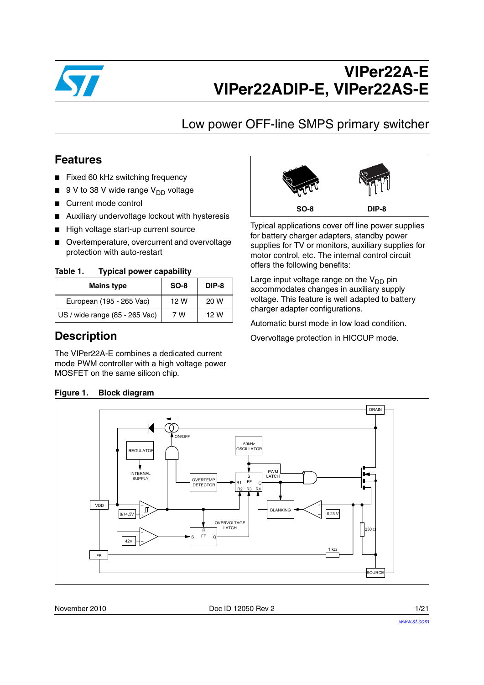

## Low power OFF-line SMPS primary switcher

### **Features**

- Fixed 60 kHz switching frequency
- $\blacksquare$  9 V to 38 V wide range V<sub>DD</sub> voltage
- Current mode control
- Auxiliary undervoltage lockout with hysteresis
- High voltage start-up current source
- Overtemperature, overcurrent and overvoltage protection with auto-restart

Table 1. **Typical power capability** 

| <b>Mains type</b>              | $SO-8$ | DIP-8 |
|--------------------------------|--------|-------|
| European (195 - 265 Vac)       | 12 W   | 20 W  |
| US / wide range (85 - 265 Vac) | 7 W    | 12 W  |

### **Description**

The VIPer22A-E combines a dedicated current mode PWM controller with a high voltage power MOSFET on the same silicon chip.



Typical applications cover off line power supplies for battery charger adapters, standby power supplies for TV or monitors, auxiliary supplies for motor control, etc. The internal control circuit offers the following benefits:

Large input voltage range on the  $V_{DD}$  pin accommodates changes in auxiliary supply voltage. This feature is well adapted to battery charger adapter configurations.

Automatic burst mode in low load condition.

Overvoltage protection in HICCUP mode.



### **Figure 1. Block diagram**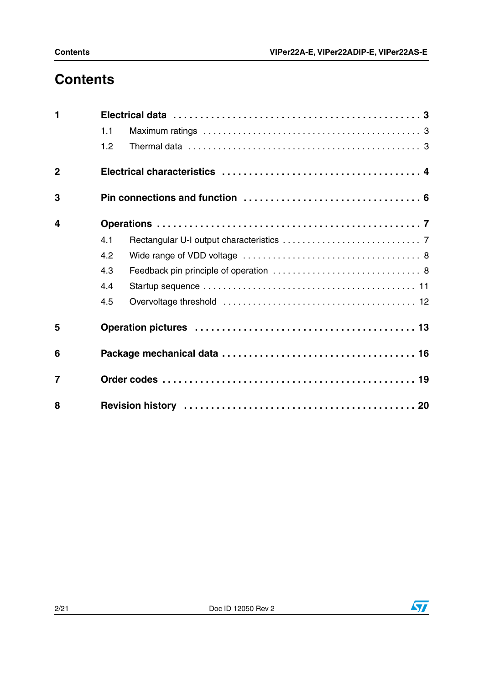## **Contents**

| $\blacksquare$          |     |  |
|-------------------------|-----|--|
|                         | 1.1 |  |
|                         | 1.2 |  |
| $\overline{2}$          |     |  |
| 3                       |     |  |
| $\overline{\mathbf{4}}$ |     |  |
|                         | 4.1 |  |
|                         | 4.2 |  |
|                         | 4.3 |  |
|                         | 4.4 |  |
|                         | 4.5 |  |
| 5                       |     |  |
| 6                       |     |  |
| $\overline{7}$          |     |  |
| 8                       |     |  |

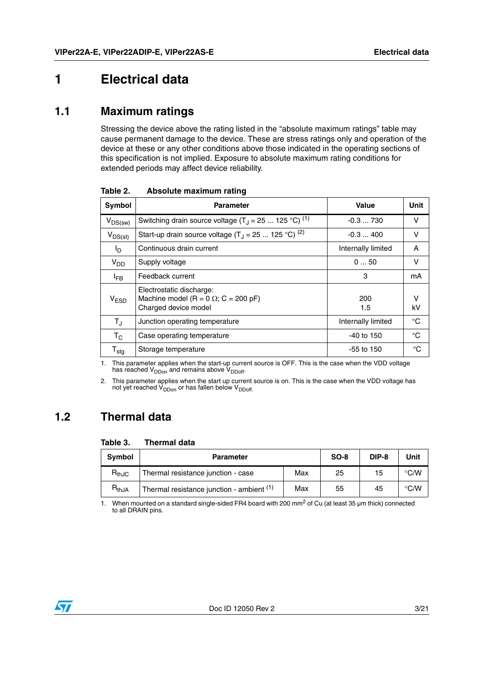## <span id="page-2-0"></span>**1 Electrical data**

### <span id="page-2-1"></span>**1.1 Maximum ratings**

Stressing the device above the rating listed in the "absolute maximum ratings" table may cause permanent damage to the device. These are stress ratings only and operation of the device at these or any other conditions above those indicated in the operating sections of this specification is not implied. Exposure to absolute maximum rating conditions for extended periods may affect device reliability.

| Symbol                      | <b>Parameter</b>                                                                                | Value              | Unit    |
|-----------------------------|-------------------------------------------------------------------------------------------------|--------------------|---------|
| $V_{DS(sw)}$                | Switching drain source voltage $(T_1 = 25  125 °C)^{(1)}$                                       | $-0.3730$          | v       |
| $V_{DS(st)}$                | Start-up drain source voltage $(T_1 = 25  125 °C)^{(2)}$                                        | $-0.3400$          | v       |
| l <sub>D</sub>              | Continuous drain current                                                                        | Internally limited | A       |
| $V_{DD}$                    | Supply voltage                                                                                  | 050                | v       |
| <sup>I</sup> FB             | Feedback current                                                                                | 3                  | mA      |
| V <sub>ESD</sub>            | Electrostatic discharge:<br>Machine model (R = 0 $\Omega$ ; C = 200 pF)<br>Charged device model | 200<br>1.5         | v<br>kV |
| $T_{\rm J}$                 | Junction operating temperature                                                                  | Internally limited | °C      |
| $\mathsf{T}_{\mathsf{C}}$   | Case operating temperature                                                                      | $-40$ to 150       | °C      |
| $\mathsf{T}_{\mathsf{stg}}$ | Storage temperature                                                                             | -55 to 150         | °C      |

**Table 2. Absolute maximum rating** 

1. This parameter applies when the start-up current source is OFF. This is the case when the VDD voltage has reached  $V_{DDon}$  and remains above  $V_{DDoff}$ .

2. This parameter applies when the start up current source is on. This is the case when the VDD voltage has not yet reached  $V_{DDon}$  or has fallen below  $V_{DDoff.}$ 

## <span id="page-2-2"></span>**1.2 Thermal data**

#### **Table 3. Thermal data**

| <b>Symbol</b><br><b>Parameter</b> |                                           | $SO-8$ | DIP-8 | Unit |               |
|-----------------------------------|-------------------------------------------|--------|-------|------|---------------|
| $R_{thJC}$                        | Thermal resistance junction - case        | Max    | 25    | 15   | $\degree$ C/W |
| $\mathsf{R}_{\mathsf{thJA}}$      | Thermal resistance junction - ambient (1) | Max    | 55    | 45   | $\degree$ C/W |

1. When mounted on a standard single-sided FR4 board with 200 mm<sup>2</sup> of Cu (at least 35 µm thick) connected to all DRAIN pins.

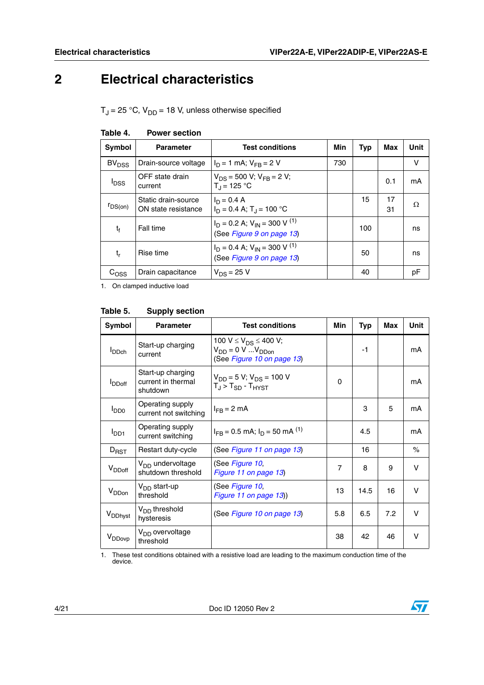## <span id="page-3-0"></span>**2 Electrical characteristics**

 $T_J$  = 25 °C,  $V_{DD}$  = 18 V, unless otherwise specified

| Symbol             | <b>Parameter</b>                           | <b>Test conditions</b>                                                      | Min | Typ | Max      | Unit |
|--------------------|--------------------------------------------|-----------------------------------------------------------------------------|-----|-----|----------|------|
| BV <sub>DSS</sub>  | Drain-source voltage                       | $I_D = 1$ mA; $V_{FB} = 2$ V                                                | 730 |     |          | v    |
| <sup>I</sup> DSS   | OFF state drain<br>current                 | $V_{DS}$ = 500 V; $V_{FB}$ = 2 V;<br>$T_{\rm d}$ = 125 °C                   |     |     | 0.1      | mΑ   |
| $r_{DS(on)}$       | Static drain-source<br>ON state resistance | $I_D = 0.4 A$<br>$I_D = 0.4$ A; $T_A = 100$ °C                              |     | 15  | 17<br>31 | Ω    |
| t                  | Fall time                                  | $I_D = 0.2$ A; $V_{IN} = 300$ V <sup>(1)</sup><br>(See Figure 9 on page 13) |     | 100 |          | ns   |
| t,                 | Rise time                                  | $I_D = 0.4$ A; $V_{IN} = 300$ V <sup>(1)</sup><br>(See Figure 9 on page 13) |     | 50  |          | ns   |
| $\mathrm{C_{OSS}}$ | Drain capacitance                          | $V_{DS} = 25 V$                                                             |     | 40  |          | рF   |

| Table 4. | <b>Power section</b> |
|----------|----------------------|
|          |                      |

1. On clamped inductive load

| Symbol              | <b>Parameter</b>                                    | <b>Test conditions</b>                                                                               | Min            | Typ  | Max | Unit   |
|---------------------|-----------------------------------------------------|------------------------------------------------------------------------------------------------------|----------------|------|-----|--------|
| <b>I</b> DDch       | Start-up charging<br>current                        | 100 V $\leq$ V <sub>DS</sub> $\leq$ 400 V;<br>$V_{DD} = 0 V  V_{DDon}$<br>(See Figure 10 on page 13) |                | $-1$ |     | mA     |
| <b>I</b> DDoff      | Start-up charging<br>current in thermal<br>shutdown | $V_{DD} = 5 V$ ; $V_{DS} = 100 V$<br>$T_{\rm J}$ > $T_{\rm SD}$ - $T_{\rm HYST}$                     | 0              |      |     | mA     |
| $I_{DD0}$           | Operating supply<br>current not switching           | $I_{FB}$ = 2 mA                                                                                      |                | 3    | 5   | mA     |
| $I_{DD1}$           | Operating supply<br>current switching               | $I_{FB} = 0.5$ mA; $I_D = 50$ mA $^{(1)}$                                                            |                | 4.5  |     | mA     |
| $D_{RST}$           | Restart duty-cycle                                  | (See Figure 11 on page 13)                                                                           |                | 16   |     | $\%$   |
| V <sub>DDoff</sub>  | $VDD$ undervoltage<br>shutdown threshold            | (See Figure 10,<br>Figure 11 on page 13)                                                             | $\overline{7}$ | 8    | 9   | V      |
| V <sub>DDon</sub>   | V <sub>DD</sub> start-up<br>threshold               | (See Figure 10,<br>Figure 11 on page 13)                                                             | 13             | 14.5 | 16  | $\vee$ |
| V <sub>DDhyst</sub> | V <sub>DD</sub> threshold<br>hysteresis             | (See Figure 10 on page 13)                                                                           | 5.8            | 6.5  | 7.2 | V      |
| V <sub>DDovp</sub>  | V <sub>DD</sub> overvoltage<br>threshold            |                                                                                                      | 38             | 42   | 46  | v      |

#### **Table 5. Supply section**

1. These test conditions obtained with a resistive load are leading to the maximum conduction time of the device.

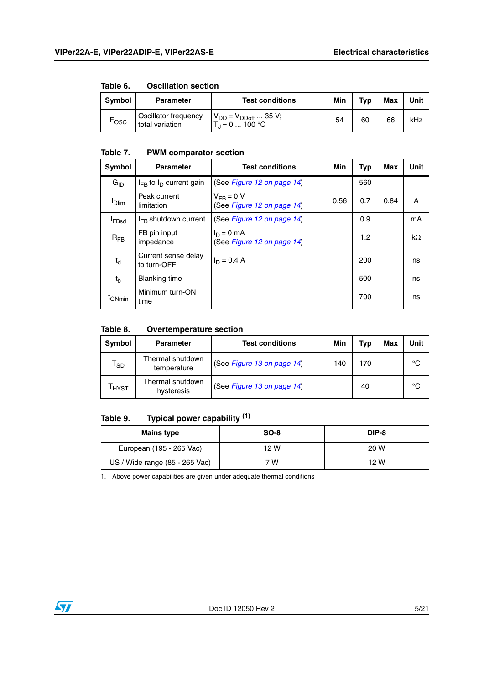| TUNIY VI    | OSCIIIQUOII SCCUOII                     |                                                  |     |     |     |      |
|-------------|-----------------------------------------|--------------------------------------------------|-----|-----|-----|------|
| Symbol      | <b>Parameter</b>                        | <b>Test conditions</b>                           | Min | Typ | Max | Unit |
| <b>LOSC</b> | Oscillator frequency<br>total variation | $V_{DD} = V_{DDoff}  35 V;$<br>$T_1 = 0  100 °C$ | 54  | 60  | 66  | kHz  |

### **Table 6. Oscillation section**

#### **Table 7. PWM comparator section**

| Symbol            | <b>Parameter</b>                   | <b>Test conditions</b>                       | Min  | Typ | Max  | <b>Unit</b> |
|-------------------|------------------------------------|----------------------------------------------|------|-----|------|-------------|
| $G_{ID}$          | $I_{FB}$ to $I_D$ current gain     | (See Figure 12 on page 14)                   |      | 560 |      |             |
| <b>Dlim</b>       | Peak current<br>limitation         | $V_{FR} = 0 V$<br>(See Figure 12 on page 14) | 0.56 | 0.7 | 0.84 | A           |
| <sup>I</sup> FBsd | $I_{FR}$ shutdown current          | (See Figure 12 on page 14)                   |      | 0.9 |      | mA          |
| $R_{FB}$          | FB pin input<br>impedance          | $I_D = 0$ mA<br>(See Figure 12 on page 14)   |      | 1.2 |      | $k\Omega$   |
| $t_d$             | Current sense delay<br>to turn-OFF | $I_D = 0.4 A$                                |      | 200 |      | ns          |
| $t_{h}$           | <b>Blanking time</b>               |                                              |      | 500 |      | ns          |
| <b>I</b> ONmin    | Minimum turn-ON<br>time            |                                              |      | 700 |      | ns          |

#### **Table 8. Overtemperature section**

| <b>Symbol</b>              | <b>Parameter</b>                | <b>Test conditions</b>     | Min | Typ | <b>Max</b> | Unit |
|----------------------------|---------------------------------|----------------------------|-----|-----|------------|------|
| $\mathsf{r}_{\textsf{SD}}$ | Thermal shutdown<br>temperature | (See Figure 13 on page 14) | 140 | 170 |            | °C   |
| <b>HYST</b>                | Thermal shutdown<br>hysteresis  | (See Figure 13 on page 14) |     | 40  |            | °C   |

### **Table 9. Typical power capability (1)**

| <b>Mains type</b>              | $SO-8$ | DIP-8 |
|--------------------------------|--------|-------|
| European (195 - 265 Vac)       | 12 W   | 20 W  |
| US / Wide range (85 - 265 Vac) | 7 W    | 12 W  |

1. Above power capabilities are given under adequate thermal conditions

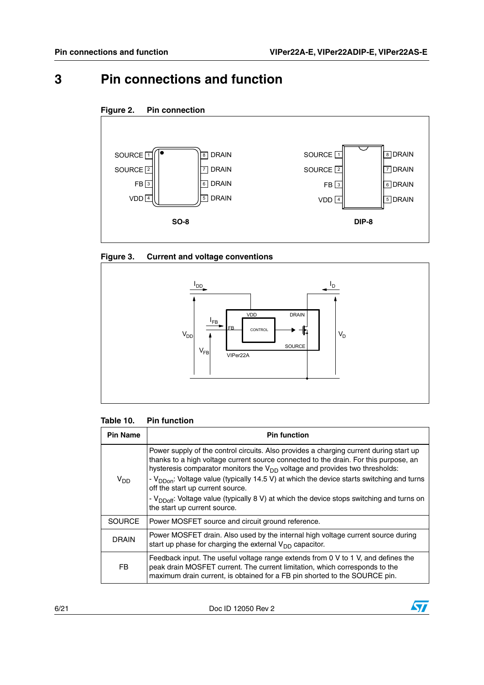## <span id="page-5-0"></span>**3 Pin connections and function**





### **Figure 3. Current and voltage conventions**



#### **Table 10. Pin function**

| <b>Pin Name</b> | <b>Pin function</b>                                                                                                                                                                                                                                                                                                                                                                                                                                                                                               |
|-----------------|-------------------------------------------------------------------------------------------------------------------------------------------------------------------------------------------------------------------------------------------------------------------------------------------------------------------------------------------------------------------------------------------------------------------------------------------------------------------------------------------------------------------|
| V <sub>DD</sub> | Power supply of the control circuits. Also provides a charging current during start up<br>thanks to a high voltage current source connected to the drain. For this purpose, an<br>hysteresis comparator monitors the $V_{DD}$ voltage and provides two thresholds:<br>- V <sub>DDon</sub> : Voltage value (typically 14.5 V) at which the device starts switching and turns<br>off the start up current source.<br>- $V_{DDoff}$ : Voltage value (typically 8 V) at which the device stops switching and turns on |
|                 | the start up current source.                                                                                                                                                                                                                                                                                                                                                                                                                                                                                      |
| <b>SOURCE</b>   | Power MOSFET source and circuit ground reference.                                                                                                                                                                                                                                                                                                                                                                                                                                                                 |
| <b>DRAIN</b>    | Power MOSFET drain. Also used by the internal high voltage current source during<br>start up phase for charging the external $V_{DD}$ capacitor.                                                                                                                                                                                                                                                                                                                                                                  |
| FB.             | Feedback input. The useful voltage range extends from 0 V to 1 V, and defines the<br>peak drain MOSFET current. The current limitation, which corresponds to the<br>maximum drain current, is obtained for a FB pin shorted to the SOURCE pin.                                                                                                                                                                                                                                                                    |

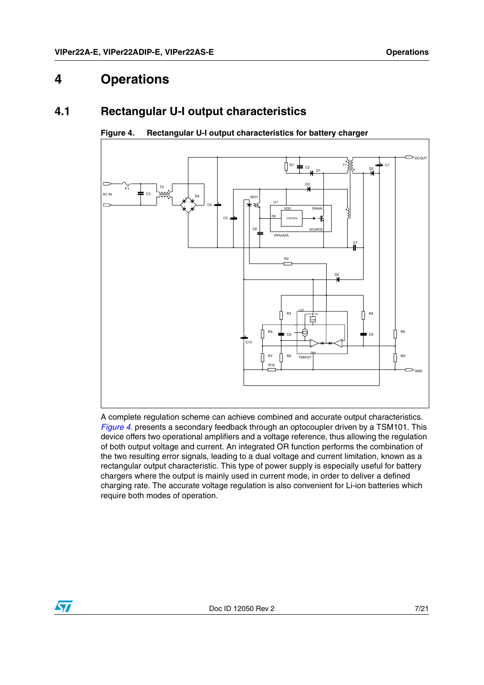## <span id="page-6-0"></span>**4 Operations**

### <span id="page-6-1"></span>**4.1 Rectangular U-I output characteristics**



### <span id="page-6-2"></span>**Figure 4. Rectangular U-I output characteristics for battery charger**

A complete regulation scheme can achieve combined and accurate output characteristics. *[Figure 4.](#page-6-2)* presents a secondary feedback through an optocoupler driven by a TSM101. This device offers two operational amplifiers and a voltage reference, thus allowing the regulation of both output voltage and current. An integrated OR function performs the combination of the two resulting error signals, leading to a dual voltage and current limitation, known as a rectangular output characteristic. This type of power supply is especially useful for battery chargers where the output is mainly used in current mode, in order to deliver a defined charging rate. The accurate voltage regulation is also convenient for Li-ion batteries which require both modes of operation.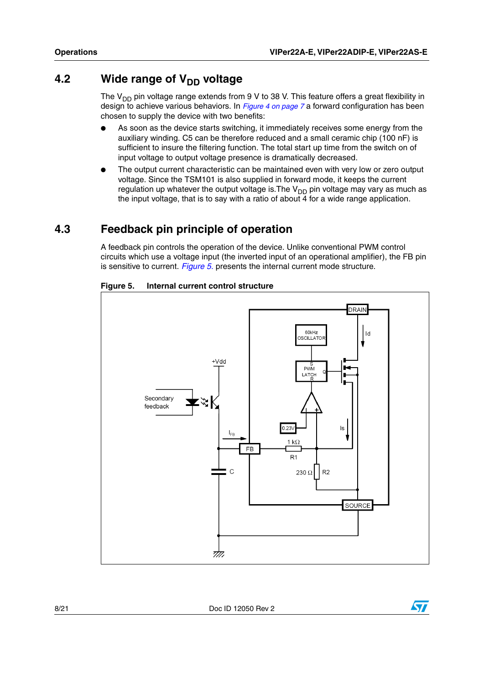### <span id="page-7-0"></span>**4.2** Wide range of V<sub>DD</sub> voltage

The  $V_{DD}$  pin voltage range extends from 9 V to 38 V. This feature offers a great flexibility in design to achieve various behaviors. In *[Figure 4 on page 7](#page-6-2)* a forward configuration has been chosen to supply the device with two benefits:

- As soon as the device starts switching, it immediately receives some energy from the auxiliary winding. C5 can be therefore reduced and a small ceramic chip (100 nF) is sufficient to insure the filtering function. The total start up time from the switch on of input voltage to output voltage presence is dramatically decreased.
- The output current characteristic can be maintained even with very low or zero output voltage. Since the TSM101 is also supplied in forward mode, it keeps the current regulation up whatever the output voltage is. The  $V_{DD}$  pin voltage may vary as much as the input voltage, that is to say with a ratio of about 4 for a wide range application.

### <span id="page-7-1"></span>**4.3 Feedback pin principle of operation**

A feedback pin controls the operation of the device. Unlike conventional PWM control circuits which use a voltage input (the inverted input of an operational amplifier), the FB pin is sensitive to current. *[Figure 5.](#page-7-2)* presents the internal current mode structure.



#### <span id="page-7-2"></span>**Figure 5. Internal current control structure**

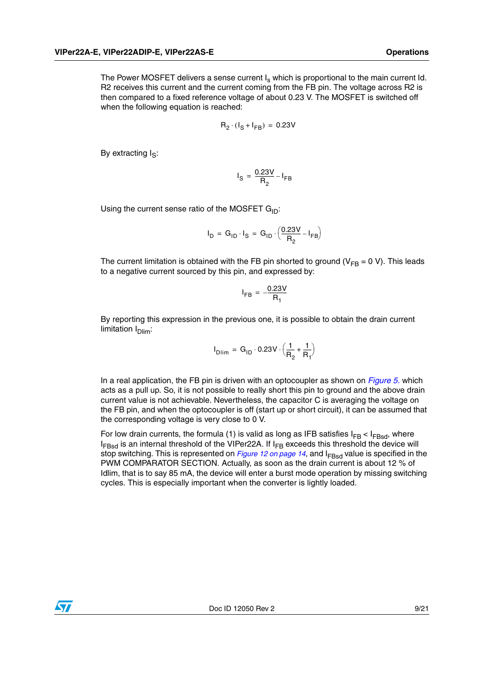The Power MOSFET delivers a sense current  $I_s$  which is proportional to the main current Id. R2 receives this current and the current coming from the FB pin. The voltage across R2 is then compared to a fixed reference voltage of about 0.23 V. The MOSFET is switched off when the following equation is reached:

$$
\mathsf{R}_2 \cdot (\mathsf{I}_\mathsf{S} + \mathsf{I}_{\mathsf{FB}}) = 0.23 \mathsf{V}
$$

By extracting  $I_S$ :

$$
I_{\rm S} = \frac{0.23V}{R_2} - I_{\rm FB}
$$

Using the current sense ratio of the MOSFET  $G_{ID}$ :

$$
I_D = G_{ID} \cdot I_S = G_{ID} \cdot \left(\frac{0.23V}{R_2} - I_{FB}\right)
$$

The current limitation is obtained with the FB pin shorted to ground ( $V_{FB} = 0 V$ ). This leads to a negative current sourced by this pin, and expressed by:

$$
I_{FB} = -\frac{0.23V}{R_1}
$$

By reporting this expression in the previous one, it is possible to obtain the drain current limitation  $I<sub>Dim</sub>$ :

$$
I_{\text{Dlim}} = G_{\text{1D}} \cdot 0.23V \cdot \left(\frac{1}{R_2} + \frac{1}{R_1}\right)
$$

In a real application, the FB pin is driven with an optocoupler as shown on *[Figure 5.](#page-7-2)* which acts as a pull up. So, it is not possible to really short this pin to ground and the above drain current value is not achievable. Nevertheless, the capacitor C is averaging the voltage on the FB pin, and when the optocoupler is off (start up or short circuit), it can be assumed that the corresponding voltage is very close to 0 V.

For low drain currents, the formula (1) is valid as long as IFB satisfies  $I_{FB}$  <  $I_{FBsd}$ , where  $I_{FBSd}$  is an internal threshold of the VIPer22A. If  $I_{FB}$  exceeds this threshold the device will stop switching. This is represented on *[Figure 12 on page 14](#page-13-0)*, and I<sub>FBsd</sub> value is specified in the PWM COMPARATOR SECTION. Actually, as soon as the drain current is about 12 % of Idlim, that is to say 85 mA, the device will enter a burst mode operation by missing switching cycles. This is especially important when the converter is lightly loaded.

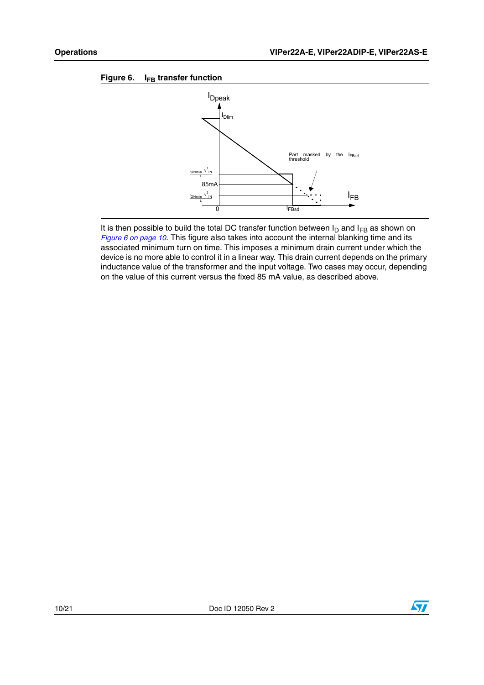

It is then possible to build the total DC transfer function between  $I_D$  and  $I_{FB}$  as shown on *[Figure 6 on page 10](#page-9-0)*. This figure also takes into account the internal blanking time and its associated minimum turn on time. This imposes a minimum drain current under which the device is no more able to control it in a linear way. This drain current depends on the primary inductance value of the transformer and the input voltage. Two cases may occur, depending on the value of this current versus the fixed 85 mA value, as described above.

### <span id="page-9-0"></span>Figure 6. I<sub>FB</sub> transfer function

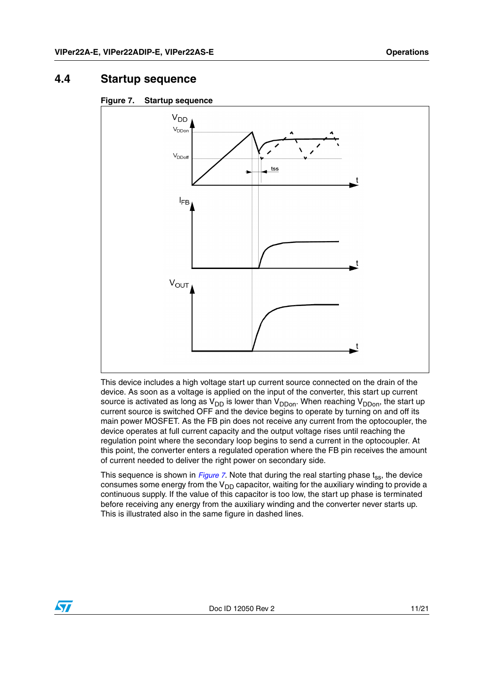### <span id="page-10-0"></span>**4.4 Startup sequence**

<span id="page-10-1"></span>



This device includes a high voltage start up current source connected on the drain of the device. As soon as a voltage is applied on the input of the converter, this start up current source is activated as long as  $V_{DD}$  is lower than  $V_{DDon}$ . When reaching  $V_{DDon}$ , the start up current source is switched OFF and the device begins to operate by turning on and off its main power MOSFET. As the FB pin does not receive any current from the optocoupler, the device operates at full current capacity and the output voltage rises until reaching the regulation point where the secondary loop begins to send a current in the optocoupler. At this point, the converter enters a regulated operation where the FB pin receives the amount of current needed to deliver the right power on secondary side.

This sequence is shown in *Figure* 7. Note that during the real starting phase t<sub>ss</sub>, the device consumes some energy from the  $V_{DD}$  capacitor, waiting for the auxiliary winding to provide a continuous supply. If the value of this capacitor is too low, the start up phase is terminated before receiving any energy from the auxiliary winding and the converter never starts up. This is illustrated also in the same figure in dashed lines.

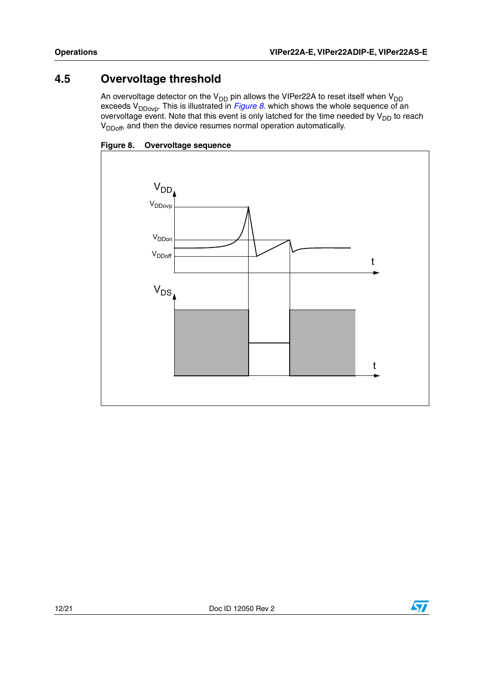## <span id="page-11-0"></span>**4.5 Overvoltage threshold**

An overvoltage detector on the  $V_{DD}$  pin allows the VIPer22A to reset itself when  $V_{DD}$ exceeds V<sub>DDovp</sub>. This is illustrated in *[Figure 8.](#page-11-1)* which shows the whole sequence of an overvoltage event. Note that this event is only latched for the time needed by  $\mathsf{V}_{\mathsf{DD}}$  to reach V<sub>DDoff</sub>, and then the device resumes normal operation automatically.

<span id="page-11-1"></span>



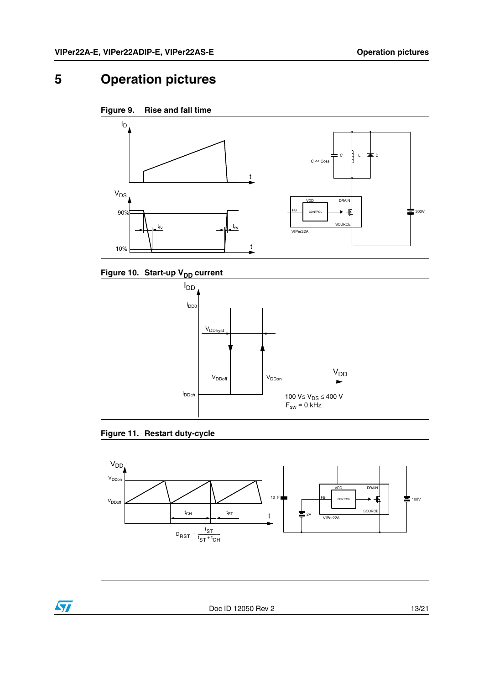## <span id="page-12-0"></span>**5 Operation pictures**

<span id="page-12-1"></span>



<span id="page-12-2"></span>Figure 10. Start-up V<sub>DD</sub> current



<span id="page-12-3"></span>



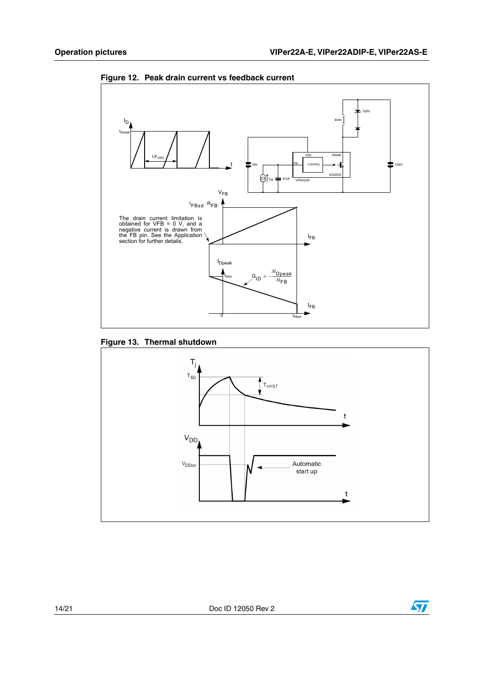

<span id="page-13-0"></span>**Figure 12. Peak drain current vs feedback current**

#### <span id="page-13-1"></span>**Figure 13. Thermal shutdown**



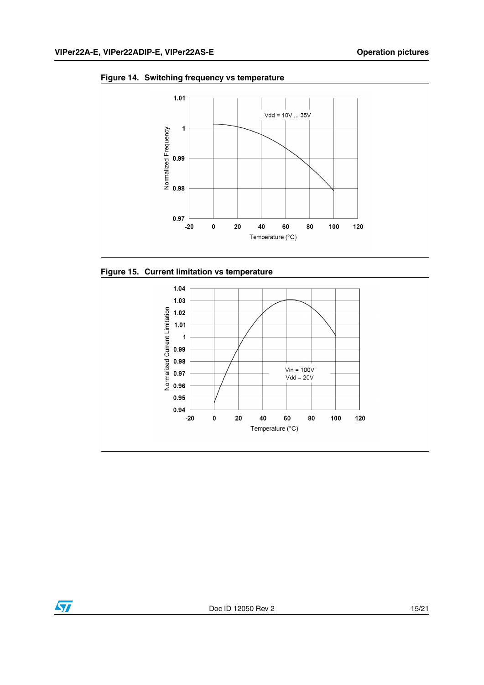

**Figure 14. Switching frequency vs temperature**





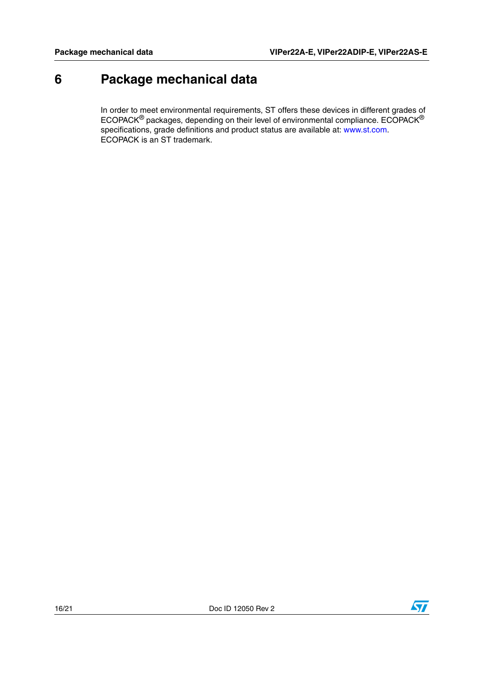## <span id="page-15-0"></span>**6 Package mechanical data**

In order to meet environmental requirements, ST offers these devices in different grades of ECOPACK® packages, depending on their level of environmental compliance. ECOPACK® specifications, grade definitions and product status are available at: www.st.com. ECOPACK is an ST trademark.

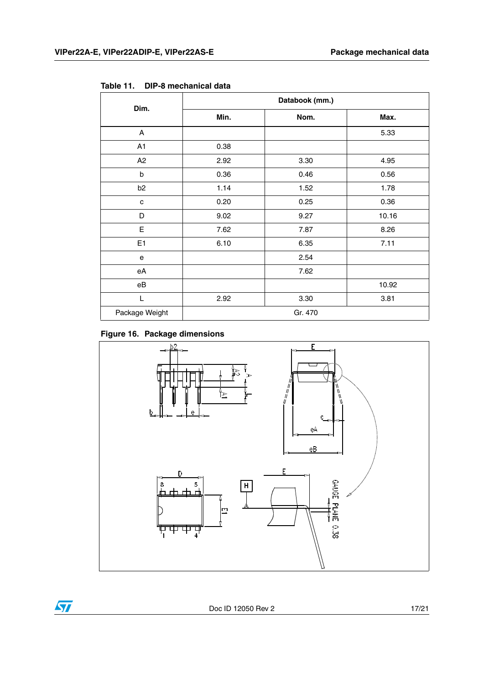| Dim.           | Databook (mm.) |         |       |  |
|----------------|----------------|---------|-------|--|
|                | Min.           | Nom.    | Max.  |  |
| A              |                |         | 5.33  |  |
| A1             | 0.38           |         |       |  |
| A2             | 2.92           | 3.30    | 4.95  |  |
| b              | 0.36           | 0.46    | 0.56  |  |
| b <sub>2</sub> | 1.14           | 1.52    | 1.78  |  |
| C              | 0.20           | 0.25    | 0.36  |  |
| D              | 9.02           | 9.27    | 10.16 |  |
| E              | 7.62           | 7.87    | 8.26  |  |
| E <sub>1</sub> | 6.10           | 6.35    | 7.11  |  |
| e              |                | 2.54    |       |  |
| eA             |                | 7.62    |       |  |
| eB             |                |         | 10.92 |  |
| L              | 2.92           | 3.30    | 3.81  |  |
| Package Weight |                | Gr. 470 |       |  |

<span id="page-16-0"></span>**Table 11. DIP-8 mechanical data**





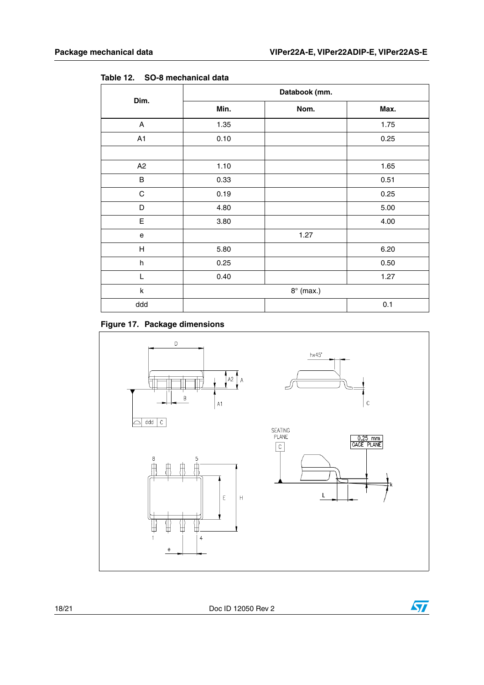| Dim.        | Databook (mm.    |      |      |  |
|-------------|------------------|------|------|--|
|             | Min.             | Nom. | Max. |  |
| A           | 1.35             |      | 1.75 |  |
| A1          | 0.10             |      | 0.25 |  |
|             |                  |      |      |  |
| A2          | 1.10             |      | 1.65 |  |
| B           | 0.33             |      | 0.51 |  |
| $\mathsf C$ | 0.19             |      | 0.25 |  |
| D           | 4.80             |      | 5.00 |  |
| E           | 3.80             |      | 4.00 |  |
| ${\bf e}$   |                  | 1.27 |      |  |
| H           | 5.80             |      | 6.20 |  |
| $\sf h$     | 0.25             |      | 0.50 |  |
| L           | 0.40             |      | 1.27 |  |
| k           | $8^\circ$ (max.) |      |      |  |
| ddd         |                  |      | 0.1  |  |

**Table 12. SO-8 mechanical data**

### **Figure 17. Package dimensions**



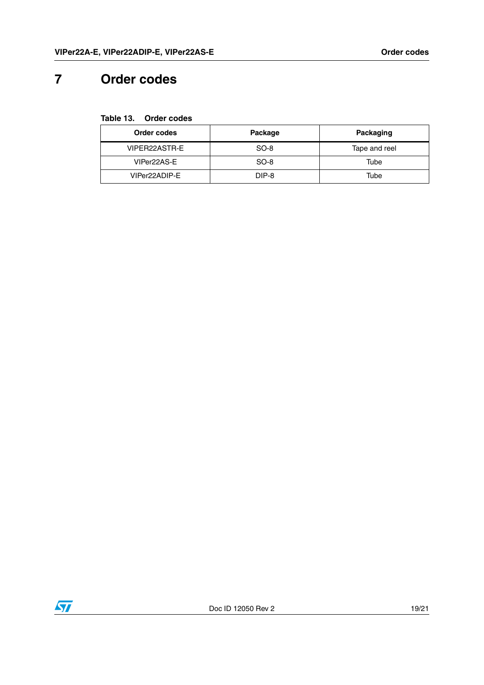## <span id="page-18-0"></span>**7 Order codes**

#### **Table 13. Order codes**

| Order codes   | Package | Packaging     |
|---------------|---------|---------------|
| VIPER22ASTR-E | SO-8    | Tape and reel |
| VIPer22AS-E   | SO-8    | Tube          |
| VIPer22ADIP-E | DIP-8   | Tube          |

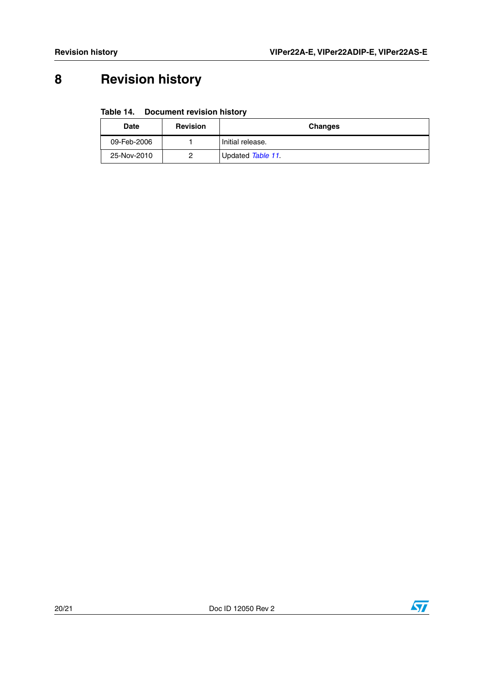# <span id="page-19-0"></span>**8 Revision history**

### **Table 14. Document revision history**

| <b>Date</b> | <b>Revision</b> | <b>Changes</b>    |
|-------------|-----------------|-------------------|
| 09-Feb-2006 |                 | Initial release.  |
| 25-Nov-2010 |                 | Updated Table 11. |